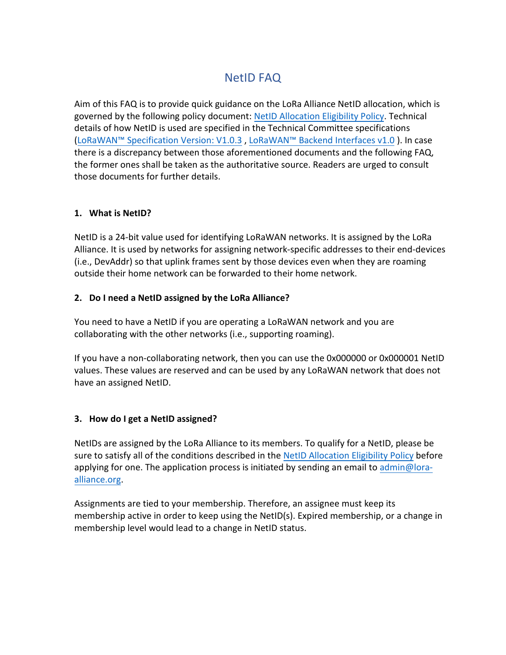# NetID FAQ

Aim of this FAQ is to provide quick guidance on the LoRa Alliance NetID allocation, which is governed by the following policy document: [NetID Allocation Eligibility Policy.](https://members.lora-alliance.org/higherlogic/ws/groups/b68f0fbc-dd43-4145-9dd2-1a5a542883a4/download/4739/latest) Technical details of how NetID is used are specified in the Technical Committee specifications [\(LoRaWAN™ Specification Version: V1.0.3](https://lora-alliance.org/sites/default/files/2018-07/lorawan1.0.3.pdf) , [LoRaWAN™ Backend Interfaces v1.0](https://lora-alliance.org/sites/default/files/2018-04/lorawantm-backend-interfaces-v1.0.pdf) ). In case there is a discrepancy between those aforementioned documents and the following FAQ, the former ones shall be taken as the authoritative source. Readers are urged to consult those documents for further details.

## **1. What is NetID?**

NetID is a 24-bit value used for identifying LoRaWAN networks. It is assigned by the LoRa Alliance. It is used by networks for assigning network-specific addresses to their end-devices (i.e., DevAddr) so that uplink frames sent by those devices even when they are roaming outside their home network can be forwarded to their home network.

## **2. Do I need a NetID assigned by the LoRa Alliance?**

You need to have a NetID if you are operating a LoRaWAN network and you are collaborating with the other networks (i.e., supporting roaming).

If you have a non-collaborating network, then you can use the 0x000000 or 0x000001 NetID values. These values are reserved and can be used by any LoRaWAN network that does not have an assigned NetID.

#### **3. How do I get a NetID assigned?**

NetIDs are assigned by the LoRa Alliance to its members. To qualify for a NetID, please be sure to satisfy all of the conditions described in the [NetID Allocation Eligibility Policy](https://members.lora-alliance.org/higherlogic/ws/groups/b68f0fbc-dd43-4145-9dd2-1a5a542883a4/download/4739/latest) before applying for one. The application process is initiated by sending an email to admin[@lora](mailto:help@lora-alliance.org)[alliance.org.](mailto:help@lora-alliance.org)

Assignments are tied to your membership. Therefore, an assignee must keep its membership active in order to keep using the NetID(s). Expired membership, or a change in membership level would lead to a change in NetID status.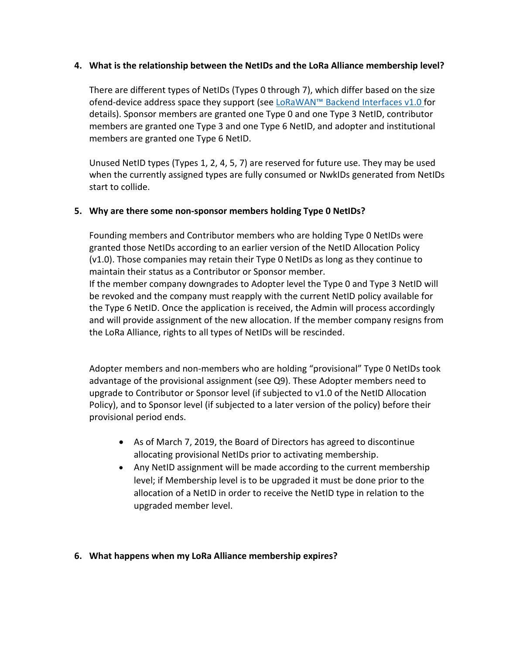## **4. What is the relationship between the NetIDs and the LoRa Alliance membership level?**

There are different types of NetIDs (Types 0 through 7), which differ based on the size ofend-device address space they support (see [LoRaWAN™ Backend Interfaces v1.0 f](https://lora-alliance.org/sites/default/files/2018-04/lorawantm-backend-interfaces-v1.0.pdf)or details). Sponsor members are granted one Type 0 and one Type 3 NetID, contributor members are granted one Type 3 and one Type 6 NetID, and adopter and institutional members are granted one Type 6 NetID.

Unused NetID types (Types 1, 2, 4, 5, 7) are reserved for future use. They may be used when the currently assigned types are fully consumed or NwkIDs generated from NetIDs start to collide.

## **5. Why are there some non-sponsor members holding Type 0 NetIDs?**

the LoRa Alliance, rights to all types of NetIDs will be rescinded.

Founding members and Contributor members who are holding Type 0 NetIDs were granted those NetIDs according to an earlier version of the NetID Allocation Policy (v1.0). Those companies may retain their Type 0 NetIDs as long as they continue to maintain their status as a Contributor or Sponsor member. If the member company downgrades to Adopter level the Type 0 and Type 3 NetID will be revoked and the company must reapply with the current NetID policy available for the Type 6 NetID. Once the application is received, the Admin will process accordingly and will provide assignment of the new allocation. If the member company resigns from

Adopter members and non-members who are holding "provisional" Type 0 NetIDs took advantage of the provisional assignment (see Q9). These Adopter members need to upgrade to Contributor or Sponsor level (if subjected to v1.0 of the NetID Allocation Policy), and to Sponsor level (if subjected to a later version of the policy) before their provisional period ends.

- As of March 7, 2019, the Board of Directors has agreed to discontinue allocating provisional NetIDs prior to activating membership.
- Any NetID assignment will be made according to the current membership level; if Membership level is to be upgraded it must be done prior to the allocation of a NetID in order to receive the NetID type in relation to the upgraded member level.

#### **6. What happens when my LoRa Alliance membership expires?**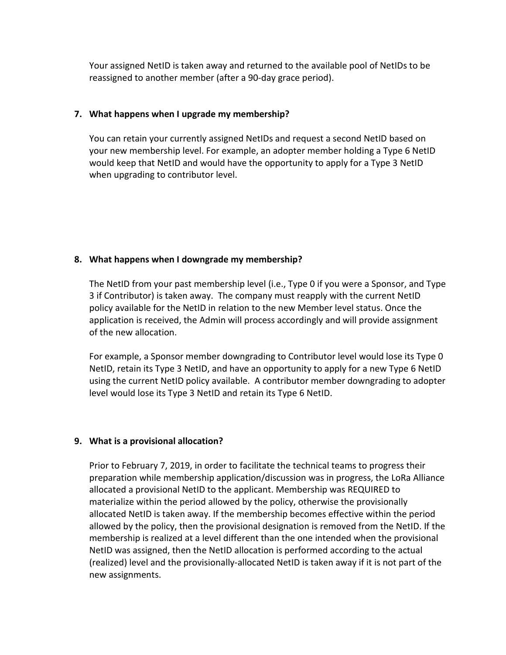Your assigned NetID is taken away and returned to the available pool of NetIDs to be reassigned to another member (after a 90-day grace period).

## **7. What happens when I upgrade my membership?**

You can retain your currently assigned NetIDs and request a second NetID based on your new membership level. For example, an adopter member holding a Type 6 NetID would keep that NetID and would have the opportunity to apply for a Type 3 NetID when upgrading to contributor level.

## **8. What happens when I downgrade my membership?**

The NetID from your past membership level (i.e., Type 0 if you were a Sponsor, and Type 3 if Contributor) is taken away. The company must reapply with the current NetID policy available for the NetID in relation to the new Member level status. Once the application is received, the Admin will process accordingly and will provide assignment of the new allocation.

For example, a Sponsor member downgrading to Contributor level would lose its Type 0 NetID, retain its Type 3 NetID, and have an opportunity to apply for a new Type 6 NetID using the current NetID policy available. A contributor member downgrading to adopter level would lose its Type 3 NetID and retain its Type 6 NetID.

## **9. What is a provisional allocation?**

Prior to February 7, 2019, in order to facilitate the technical teams to progress their preparation while membership application/discussion was in progress, the LoRa Alliance allocated a provisional NetID to the applicant. Membership was REQUIRED to materialize within the period allowed by the policy, otherwise the provisionally allocated NetID is taken away. If the membership becomes effective within the period allowed by the policy, then the provisional designation is removed from the NetID. If the membership is realized at a level different than the one intended when the provisional NetID was assigned, then the NetID allocation is performed according to the actual (realized) level and the provisionally-allocated NetID is taken away if it is not part of the new assignments.